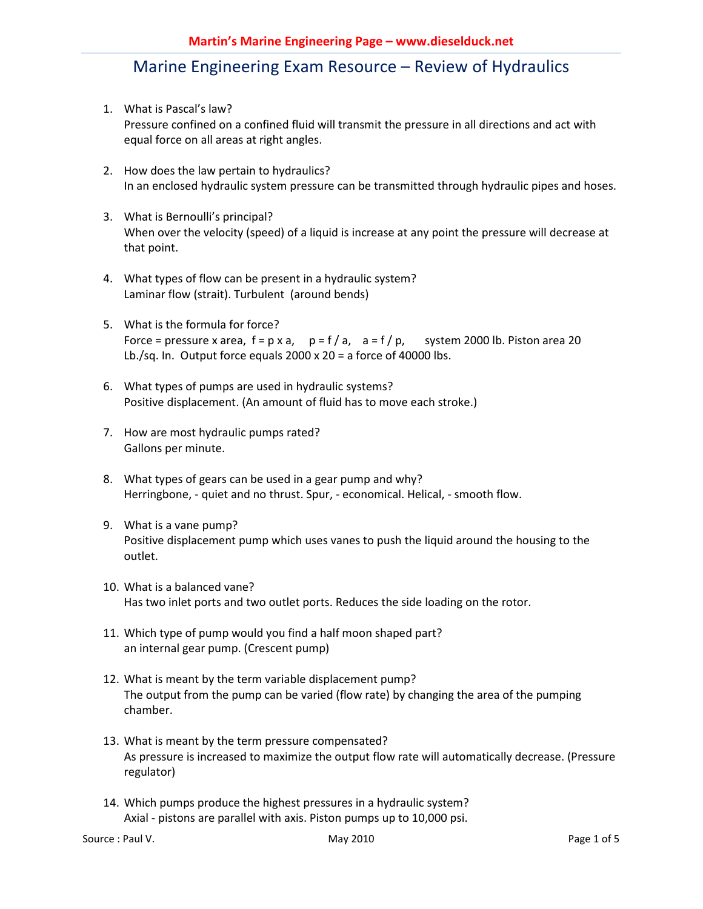- 1. What is Pascal's law? Pressure confined on a confined fluid will transmit the pressure in all directions and act with equal force on all areas at right angles.
- 2. How does the law pertain to hydraulics? In an enclosed hydraulic system pressure can be transmitted through hydraulic pipes and hoses.
- 3. What is Bernoulli's principal? When over the velocity (speed) of a liquid is increase at any point the pressure will decrease at that point.
- 4. What types of flow can be present in a hydraulic system? Laminar flow (strait). Turbulent (around bends)
- 5. What is the formula for force? Force = pressure x area,  $f = p \times a$ ,  $p = f/a$ ,  $a = f/p$ , system 2000 lb. Piston area 20 Lb./sq. In. Output force equals  $2000 \times 20 = a$  force of 40000 lbs.
- 6. What types of pumps are used in hydraulic systems? Positive displacement. (An amount of fluid has to move each stroke.)
- 7. How are most hydraulic pumps rated? Gallons per minute.
- 8. What types of gears can be used in a gear pump and why? Herringbone, - quiet and no thrust. Spur, - economical. Helical, - smooth flow.
- 9. What is a vane pump? Positive displacement pump which uses vanes to push the liquid around the housing to the outlet.
- 10. What is a balanced vane? Has two inlet ports and two outlet ports. Reduces the side loading on the rotor.
- 11. Which type of pump would you find a half moon shaped part? an internal gear pump. (Crescent pump)
- 12. What is meant by the term variable displacement pump? The output from the pump can be varied (flow rate) by changing the area of the pumping chamber.
- 13. What is meant by the term pressure compensated? As pressure is increased to maximize the output flow rate will automatically decrease. (Pressure regulator)
- 14. Which pumps produce the highest pressures in a hydraulic system? Axial - pistons are parallel with axis. Piston pumps up to 10,000 psi.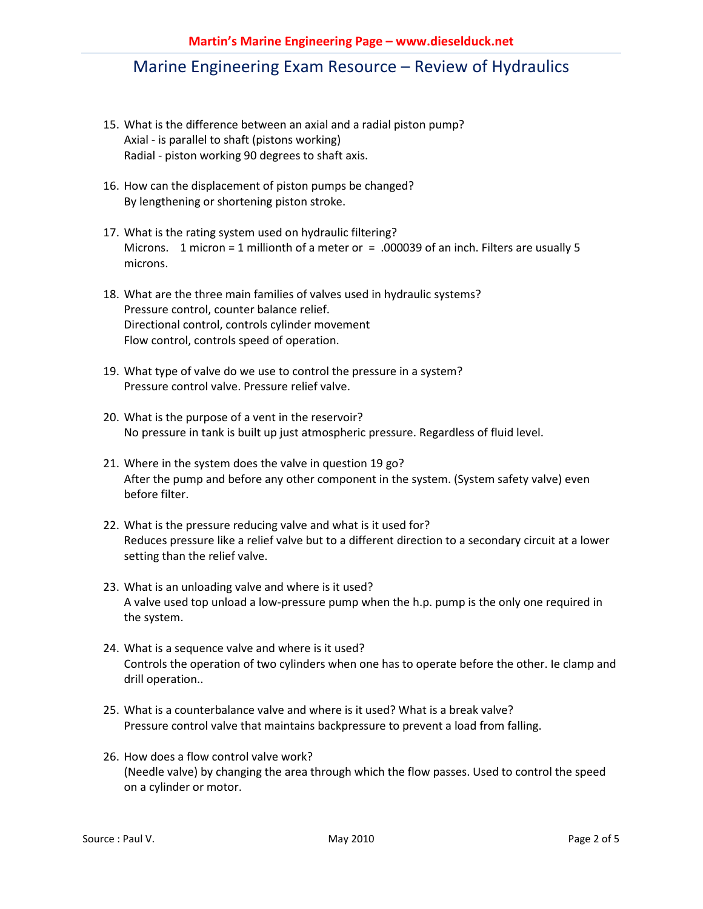- 15. What is the difference between an axial and a radial piston pump? Axial - is parallel to shaft (pistons working) Radial - piston working 90 degrees to shaft axis.
- 16. How can the displacement of piston pumps be changed? By lengthening or shortening piston stroke.
- 17. What is the rating system used on hydraulic filtering? Microns. 1 micron = 1 millionth of a meter or = .000039 of an inch. Filters are usually 5 microns.
- 18. What are the three main families of valves used in hydraulic systems? Pressure control, counter balance relief. Directional control, controls cylinder movement Flow control, controls speed of operation.
- 19. What type of valve do we use to control the pressure in a system? Pressure control valve. Pressure relief valve.
- 20. What is the purpose of a vent in the reservoir? No pressure in tank is built up just atmospheric pressure. Regardless of fluid level.
- 21. Where in the system does the valve in question 19 go? After the pump and before any other component in the system. (System safety valve) even before filter.
- 22. What is the pressure reducing valve and what is it used for? Reduces pressure like a relief valve but to a different direction to a secondary circuit at a lower setting than the relief valve.
- 23. What is an unloading valve and where is it used? A valve used top unload a low-pressure pump when the h.p. pump is the only one required in the system.
- 24. What is a sequence valve and where is it used? Controls the operation of two cylinders when one has to operate before the other. Ie clamp and drill operation..
- 25. What is a counterbalance valve and where is it used? What is a break valve? Pressure control valve that maintains backpressure to prevent a load from falling.
- 26. How does a flow control valve work? (Needle valve) by changing the area through which the flow passes. Used to control the speed on a cylinder or motor.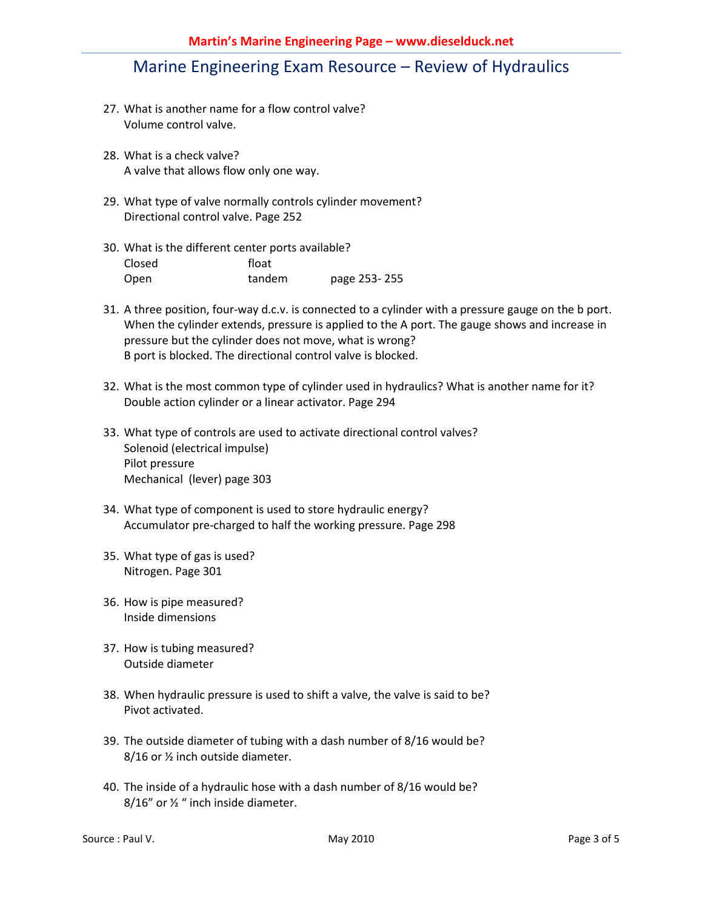- 27. What is another name for a flow control valve? Volume control valve.
- 28. What is a check valve? A valve that allows flow only one way.
- 29. What type of valve normally controls cylinder movement? Directional control valve. Page 252
- 30. What is the different center ports available? Closed float Open tandem page 253- 255
- 31. A three position, four-way d.c.v. is connected to a cylinder with a pressure gauge on the b port. When the cylinder extends, pressure is applied to the A port. The gauge shows and increase in pressure but the cylinder does not move, what is wrong? B port is blocked. The directional control valve is blocked.
- 32. What is the most common type of cylinder used in hydraulics? What is another name for it? Double action cylinder or a linear activator. Page 294
- 33. What type of controls are used to activate directional control valves? Solenoid (electrical impulse) Pilot pressure Mechanical (lever) page 303
- 34. What type of component is used to store hydraulic energy? Accumulator pre-charged to half the working pressure. Page 298
- 35. What type of gas is used? Nitrogen. Page 301
- 36. How is pipe measured? Inside dimensions
- 37. How is tubing measured? Outside diameter
- 38. When hydraulic pressure is used to shift a valve, the valve is said to be? Pivot activated.
- 39. The outside diameter of tubing with a dash number of 8/16 would be? 8/16 or ½ inch outside diameter.
- 40. The inside of a hydraulic hose with a dash number of 8/16 would be? 8/16" or ½ " inch inside diameter.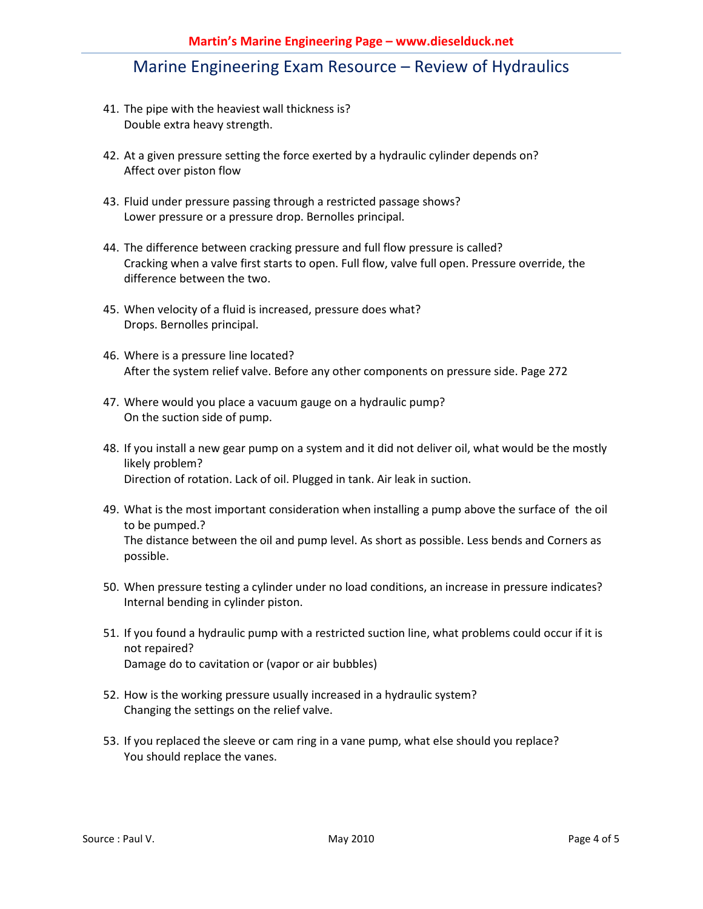- 41. The pipe with the heaviest wall thickness is? Double extra heavy strength.
- 42. At a given pressure setting the force exerted by a hydraulic cylinder depends on? Affect over piston flow
- 43. Fluid under pressure passing through a restricted passage shows? Lower pressure or a pressure drop. Bernolles principal.
- 44. The difference between cracking pressure and full flow pressure is called? Cracking when a valve first starts to open. Full flow, valve full open. Pressure override, the difference between the two.
- 45. When velocity of a fluid is increased, pressure does what? Drops. Bernolles principal.
- 46. Where is a pressure line located? After the system relief valve. Before any other components on pressure side. Page 272
- 47. Where would you place a vacuum gauge on a hydraulic pump? On the suction side of pump.
- 48. If you install a new gear pump on a system and it did not deliver oil, what would be the mostly likely problem? Direction of rotation. Lack of oil. Plugged in tank. Air leak in suction.
- 49. What is the most important consideration when installing a pump above the surface of the oil to be pumped.? The distance between the oil and pump level. As short as possible. Less bends and Corners as possible.
- 50. When pressure testing a cylinder under no load conditions, an increase in pressure indicates? Internal bending in cylinder piston.
- 51. If you found a hydraulic pump with a restricted suction line, what problems could occur if it is not repaired? Damage do to cavitation or (vapor or air bubbles)
- 52. How is the working pressure usually increased in a hydraulic system? Changing the settings on the relief valve.
- 53. If you replaced the sleeve or cam ring in a vane pump, what else should you replace? You should replace the vanes.